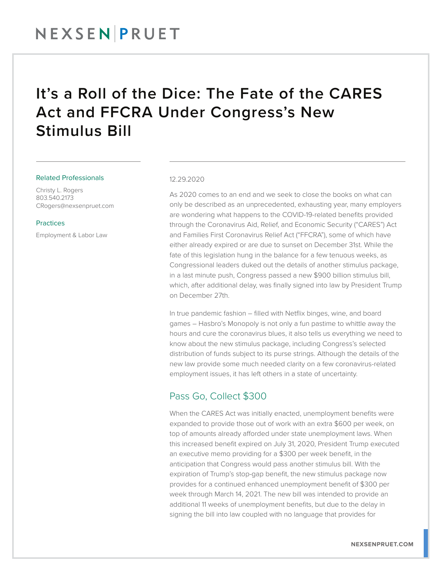## It's a Roll of the Dice: The Fate of the CARES Act and FFCRA Under Congress's New Stimulus Bill

#### Related Professionals

Christy L. Rogers 803.540.2173 CRogers@nexsenpruet.com

#### **Practices**

Employment & Labor Law

#### 12.29.2020

As 2020 comes to an end and we seek to close the books on what can only be described as an unprecedented, exhausting year, many employers are wondering what happens to the COVID-19-related benefits provided through the Coronavirus Aid, Relief, and Economic Security ("CARES") Act and Families First Coronavirus Relief Act ("FFCRA"), some of which have either already expired or are due to sunset on December 31st. While the fate of this legislation hung in the balance for a few tenuous weeks, as Congressional leaders duked out the details of another stimulus package, in a last minute push, Congress passed a new \$900 billion stimulus bill, which, after additional delay, was finally signed into law by President Trump on December 27th.

In true pandemic fashion – filled with Netflix binges, wine, and board games – Hasbro's Monopoly is not only a fun pastime to whittle away the hours and cure the coronavirus blues, it also tells us everything we need to know about the new stimulus package, including Congress's selected distribution of funds subject to its purse strings. Although the details of the new law provide some much needed clarity on a few coronavirus-related employment issues, it has left others in a state of uncertainty.

#### Pass Go, Collect \$300

When the CARES Act was initially enacted, unemployment benefits were expanded to provide those out of work with an extra \$600 per week, on top of amounts already afforded under state unemployment laws. When this increased benefit expired on July 31, 2020, President Trump executed an executive memo providing for a \$300 per week benefit, in the anticipation that Congress would pass another stimulus bill. With the expiration of Trump's stop-gap benefit, the new stimulus package now provides for a continued enhanced unemployment benefit of \$300 per week through March 14, 2021. The new bill was intended to provide an additional 11 weeks of unemployment benefits, but due to the delay in signing the bill into law coupled with no language that provides for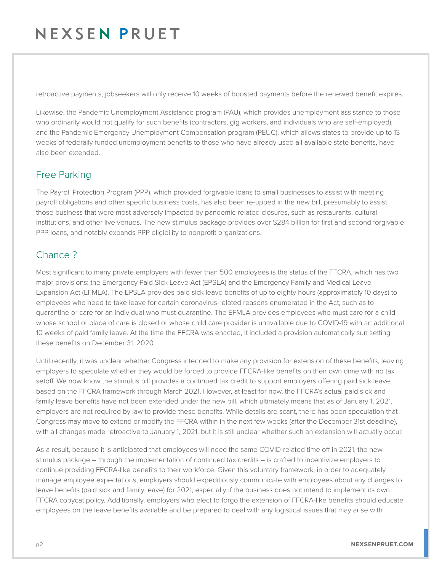# NEXSENPRUET

retroactive payments, jobseekers will only receive 10 weeks of boosted payments before the renewed benefit expires.

Likewise, the Pandemic Unemployment Assistance program (PAU), which provides unemployment assistance to those who ordinarily would not qualify for such benefits (contractors, gig workers, and individuals who are self-employed), and the Pandemic Emergency Unemployment Compensation program (PEUC), which allows states to provide up to 13 weeks of federally funded unemployment benefits to those who have already used all available state benefits, have also been extended.

### Free Parking

The Payroll Protection Program (PPP), which provided forgivable loans to small businesses to assist with meeting payroll obligations and other specific business costs, has also been re-upped in the new bill, presumably to assist those business that were most adversely impacted by pandemic-related closures, such as restaurants, cultural institutions, and other live venues. The new stimulus package provides over \$284 billion for first and second forgivable PPP loans, and notably expands PPP eligibility to nonprofit organizations.

### Chance ?

Most significant to many private employers with fewer than 500 employees is the status of the FFCRA, which has two major provisions: the Emergency Paid Sick Leave Act (EPSLA) and the Emergency Family and Medical Leave Expansion Act (EFMLA). The EPSLA provides paid sick leave benefits of up to eighty hours (approximately 10 days) to employees who need to take leave for certain coronavirus-related reasons enumerated in the Act, such as to quarantine or care for an individual who must quarantine. The EFMLA provides employees who must care for a child whose school or place of care is closed or whose child care provider is unavailable due to COVID-19 with an additional 10 weeks of paid family leave. At the time the FFCRA was enacted, it included a provision automatically sun setting these benefits on December 31, 2020.

Until recently, it was unclear whether Congress intended to make any provision for extension of these benefits, leaving employers to speculate whether they would be forced to provide FFCRA-like benefits on their own dime with no tax setoff. We now know the stimulus bill provides a continued tax credit to support employers offering paid sick leave, based on the FFCRA framework through March 2021. However, at least for now, the FFCRA's actual paid sick and family leave benefits have not been extended under the new bill, which ultimately means that as of January 1, 2021, employers are not required by law to provide these benefits. While details are scant, there has been speculation that Congress may move to extend or modify the FFCRA within in the next few weeks (after the December 31st deadline), with all changes made retroactive to January 1, 2021, but it is still unclear whether such an extension will actually occur.

As a result, because it is anticipated that employees will need the same COVID-related time off in 2021, the new stimulus package – through the implementation of continued tax credits – is crafted to incentivize employers to continue providing FFCRA-like benefits to their workforce. Given this voluntary framework, in order to adequately manage employee expectations, employers should expeditiously communicate with employees about any changes to leave benefits (paid sick and family leave) for 2021, especially if the business does not intend to implement its own FFCRA copycat policy. Additionally, employers who elect to forgo the extension of FFCRA-like benefits should educate employees on the leave benefits available and be prepared to deal with any logistical issues that may arise with